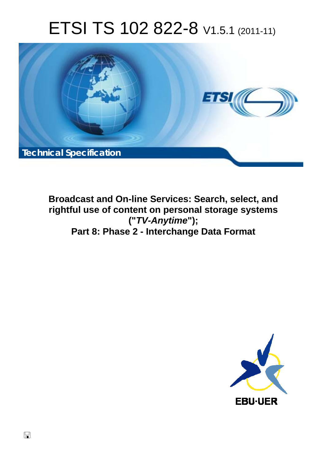# ETSI TS 102 822-8 V1.5.1 (2011-11)



**Broadcast and On-line Services: Search, select, and rightful use of content on personal storage systems ("***TV-Anytime***"); Part 8: Phase 2 - Interchange Data Format** 

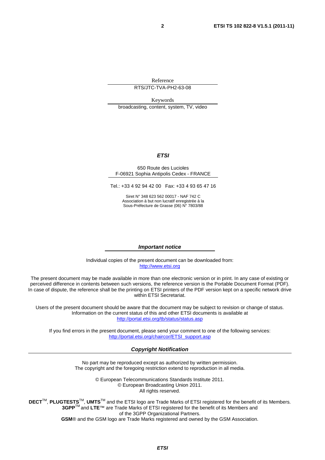Reference

RTS/JTC-TVA-PH2-63-08

Keywords broadcasting, content, system, TV, video

#### *ETSI*

#### 650 Route des Lucioles F-06921 Sophia Antipolis Cedex - FRANCE

Tel.: +33 4 92 94 42 00 Fax: +33 4 93 65 47 16

Siret N° 348 623 562 00017 - NAF 742 C Association à but non lucratif enregistrée à la Sous-Préfecture de Grasse (06) N° 7803/88

#### *Important notice*

Individual copies of the present document can be downloaded from: [http://www.etsi.org](http://www.etsi.org/)

The present document may be made available in more than one electronic version or in print. In any case of existing or perceived difference in contents between such versions, the reference version is the Portable Document Format (PDF). In case of dispute, the reference shall be the printing on ETSI printers of the PDF version kept on a specific network drive within ETSI Secretariat.

Users of the present document should be aware that the document may be subject to revision or change of status. Information on the current status of this and other ETSI documents is available at <http://portal.etsi.org/tb/status/status.asp>

If you find errors in the present document, please send your comment to one of the following services: [http://portal.etsi.org/chaircor/ETSI\\_support.asp](http://portal.etsi.org/chaircor/ETSI_support.asp)

#### *Copyright Notification*

No part may be reproduced except as authorized by written permission. The copyright and the foregoing restriction extend to reproduction in all media.

> © European Telecommunications Standards Institute 2011. © European Broadcasting Union 2011. All rights reserved.

**DECT**TM, **PLUGTESTS**TM, **UMTS**TM and the ETSI logo are Trade Marks of ETSI registered for the benefit of its Members. **3GPP**TM and **LTE**™ are Trade Marks of ETSI registered for the benefit of its Members and of the 3GPP Organizational Partners. **GSM**® and the GSM logo are Trade Marks registered and owned by the GSM Association.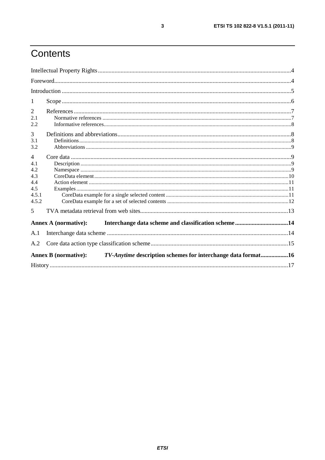# Contents

| 1              |                             |                                                              |
|----------------|-----------------------------|--------------------------------------------------------------|
| 2              |                             |                                                              |
| 2.1            |                             |                                                              |
| 2.2            |                             |                                                              |
| 3              |                             |                                                              |
| 3.1            |                             |                                                              |
| 3.2            |                             |                                                              |
| $\overline{4}$ |                             |                                                              |
| 4.1            |                             |                                                              |
| 4.2            |                             |                                                              |
| 4.3            |                             |                                                              |
| 4.4            |                             |                                                              |
| 4.5            |                             |                                                              |
| 4.5.1          |                             |                                                              |
| 4.5.2          |                             |                                                              |
| 5              |                             |                                                              |
|                | Annex A (normative):        |                                                              |
| A.1            |                             |                                                              |
| A.2            |                             |                                                              |
|                | <b>Annex B</b> (normative): | TV-Anytime description schemes for interchange data format16 |
|                |                             |                                                              |

 $\mathbf{3}$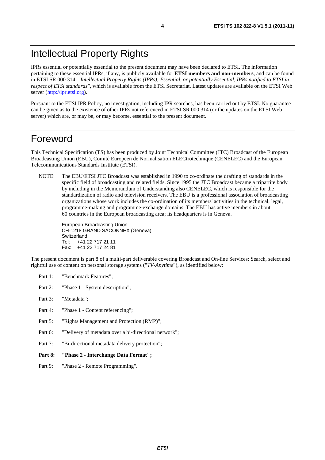# Intellectual Property Rights

IPRs essential or potentially essential to the present document may have been declared to ETSI. The information pertaining to these essential IPRs, if any, is publicly available for **ETSI members and non-members**, and can be found in ETSI SR 000 314: *"Intellectual Property Rights (IPRs); Essential, or potentially Essential, IPRs notified to ETSI in respect of ETSI standards"*, which is available from the ETSI Secretariat. Latest updates are available on the ETSI Web server [\(http://ipr.etsi.org](http://webapp.etsi.org/IPR/home.asp)).

Pursuant to the ETSI IPR Policy, no investigation, including IPR searches, has been carried out by ETSI. No guarantee can be given as to the existence of other IPRs not referenced in ETSI SR 000 314 (or the updates on the ETSI Web server) which are, or may be, or may become, essential to the present document.

### Foreword

This Technical Specification (TS) has been produced by Joint Technical Committee (JTC) Broadcast of the European Broadcasting Union (EBU), Comité Européen de Normalisation ELECtrotechnique (CENELEC) and the European Telecommunications Standards Institute (ETSI).

NOTE: The EBU/ETSI JTC Broadcast was established in 1990 to co-ordinate the drafting of standards in the specific field of broadcasting and related fields. Since 1995 the JTC Broadcast became a tripartite body by including in the Memorandum of Understanding also CENELEC, which is responsible for the standardization of radio and television receivers. The EBU is a professional association of broadcasting organizations whose work includes the co-ordination of its members' activities in the technical, legal, programme-making and programme-exchange domains. The EBU has active members in about 60 countries in the European broadcasting area; its headquarters is in Geneva.

European Broadcasting Union CH-1218 GRAND SACONNEX (Geneva) Switzerland Tel: +41 22 717 21 11 Fax: +41 22 717 24 81

The present document is part 8 of a multi-part deliverable covering Broadcast and On-line Services: Search, select and rightful use of content on personal storage systems ("*TV-Anytime*"), as identified below:

- Part 1: "Benchmark Features";
- Part 2: "Phase 1 System description";
- Part 3: "Metadata";
- Part 4: "Phase 1 Content referencing":
- Part 5: "Rights Management and Protection (RMP)";
- Part 6: "Delivery of metadata over a bi-directional network";
- Part 7: "Bi-directional metadata delivery protection";
- **Part 8: "Phase 2 Interchange Data Format";**
- Part 9: "Phase 2 Remote Programming".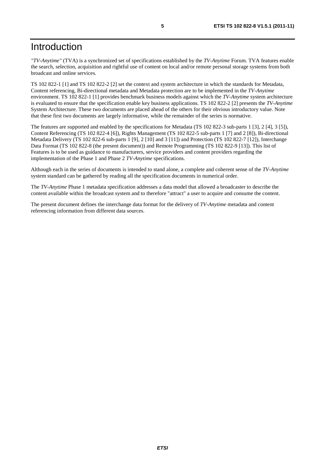# Introduction

*"TV-Anytime"* (TVA) is a synchronized set of specifications established by the *TV-Anytime* Forum. TVA features enable the search, selection, acquisition and rightful use of content on local and/or remote personal storage systems from both broadcast and online services.

TS 102 822-1 [1] and TS 102 822-2 [2] set the context and system architecture in which the standards for Metadata, Content referencing, Bi-directional metadata and Metadata protection are to be implemented in the *TV-Anytime* environment. TS 102 822-1 [1] provides benchmark business models against which the *TV-Anytime* system architecture is evaluated to ensure that the specification enable key business applications. TS 102 822-2 [2] presents the *TV-Anytime* System Architecture. These two documents are placed ahead of the others for their obvious introductory value. Note that these first two documents are largely informative, while the remainder of the series is normative.

The features are supported and enabled by the specifications for Metadata (TS 102 822-3 sub-parts 1 [3], 2 [4], 3 [5]), Content Referencing (TS 102 822-4 [6]), Rights Management (TS 102 822-5 sub-parts 1 [7] and 2 [8]), Bi-directional Metadata Delivery (TS 102 822-6 sub-parts 1 [9], 2 [10] and 3 [11]) and Protection (TS 102 822-7 [12]), Interchange Data Format (TS 102 822-8 (the present document)) and Remote Programming (TS 102 822-9 [13]). This list of Features is to be used as guidance to manufacturers, service providers and content providers regarding the implementation of the Phase 1 and Phase 2 *TV-Anytime* specifications.

Although each in the series of documents is intended to stand alone, a complete and coherent sense of the *TV-Anytime* system standard can be gathered by reading all the specification documents in numerical order.

The *TV-Anytime* Phase 1 metadata specification addresses a data model that allowed a broadcaster to describe the content available within the broadcast system and to therefore "attract" a user to acquire and consume the content.

The present document defines the interchange data format for the delivery of *TV-Anytime* metadata and content referencing information from different data sources.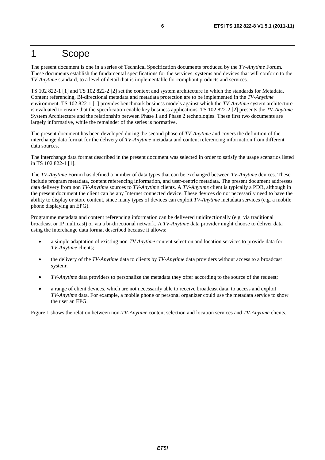### 1 Scope

The present document is one in a series of Technical Specification documents produced by the *TV-Anytime* Forum. These documents establish the fundamental specifications for the services, systems and devices that will conform to the *TV-Anytime* standard, to a level of detail that is implementable for compliant products and services.

TS 102 822-1 [1] and TS 102 822-2 [2] set the context and system architecture in which the standards for Metadata, Content referencing, Bi-directional metadata and metadata protection are to be implemented in the *TV-Anytime* environment. TS 102 822-1 [1] provides benchmark business models against which the *TV-Anytime* system architecture is evaluated to ensure that the specification enable key business applications. TS 102 822-2 [2] presents the *TV-Anytime* System Architecture and the relationship between Phase 1 and Phase 2 technologies. These first two documents are largely informative, while the remainder of the series is normative.

The present document has been developed during the second phase of *TV-Anytime* and covers the definition of the interchange data format for the delivery of *TV-Anytime* metadata and content referencing information from different data sources.

The interchange data format described in the present document was selected in order to satisfy the usage scenarios listed in TS 102 822-1 [1].

The *TV-Anytime* Forum has defined a number of data types that can be exchanged between *TV-Anytime* devices. These include program metadata, content referencing information, and user-centric metadata. The present document addresses data delivery from non *TV-Anytime* sources to *TV-Anytime* clients. A *TV-Anytime* client is typically a PDR, although in the present document the client can be any Internet connected device. These devices do not necessarily need to have the ability to display or store content, since many types of devices can exploit *TV-Anytime* metadata services (e.g. a mobile phone displaying an EPG).

Programme metadata and content referencing information can be delivered unidirectionally (e.g. via traditional broadcast or IP multicast) or via a bi-directional network. A *TV-Anytime* data provider might choose to deliver data using the interchange data format described because it allows:

- a simple adaptation of existing non-*TV Anytime* content selection and location services to provide data for *TV-Anytime* clients;
- the delivery of the *TV-Anytime* data to clients by *TV-Anytime* data providers without access to a broadcast system;
- *TV-Anytime* data providers to personalize the metadata they offer according to the source of the request;
- a range of client devices, which are not necessarily able to receive broadcast data, to access and exploit *TV-Anytime* data. For example, a mobile phone or personal organizer could use the metadata service to show the user an EPG.

Figure 1 shows the relation between non-*TV-Anytime* content selection and location services and *TV-Anytime* clients.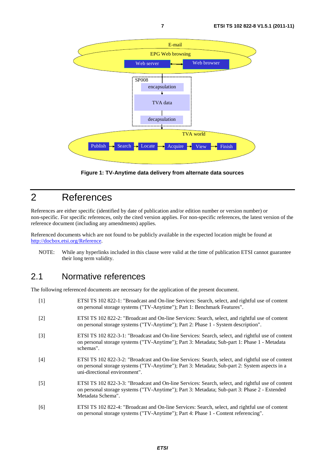

**Figure 1: TV-Anytime data delivery from alternate data sources** 

# 2 References

References are either specific (identified by date of publication and/or edition number or version number) or non-specific. For specific references, only the cited version applies. For non-specific references, the latest version of the reference document (including any amendments) applies.

Referenced documents which are not found to be publicly available in the expected location might be found at [http://docbox.etsi.org/Reference.](http://docbox.etsi.org/Reference)

NOTE: While any hyperlinks included in this clause were valid at the time of publication ETSI cannot guarantee their long term validity.

#### 2.1 Normative references

The following referenced documents are necessary for the application of the present document.

| $[1]$             | ETSI TS 102 822-1: "Broadcast and On-line Services: Search, select, and rightful use of content<br>on personal storage systems ("TV-Anytime"); Part 1: Benchmark Features".                                                         |
|-------------------|-------------------------------------------------------------------------------------------------------------------------------------------------------------------------------------------------------------------------------------|
| $\lceil 2 \rceil$ | ETSI TS 102 822-2: "Broadcast and On-line Services: Search, select, and rightful use of content<br>on personal storage systems ("TV-Anytime"); Part 2: Phase 1 - System description".                                               |
| $\lceil 3 \rceil$ | ETSI TS 102 822-3-1: "Broadcast and On-line Services: Search, select, and rightful use of content<br>on personal storage systems ("TV-Anytime"); Part 3: Metadata; Sub-part 1: Phase 1 - Metadata<br>schemas".                      |
| [4]               | ETSI TS 102 822-3-2: "Broadcast and On-line Services: Search, select, and rightful use of content<br>on personal storage systems ("TV-Anytime"); Part 3: Metadata; Sub-part 2: System aspects in a<br>uni-directional environment". |
| $\lceil 5 \rceil$ | ETSI TS 102 822-3-3: "Broadcast and On-line Services: Search, select, and rightful use of content<br>on personal storage systems ("TV-Anytime"); Part 3: Metadata; Sub-part 3: Phase 2 - Extended<br>Metadata Schema".              |
| [6]               | ETSI TS 102 822-4: "Broadcast and On-line Services: Search, select, and rightful use of content<br>on personal storage systems ("TV-Anytime"); Part 4: Phase 1 - Content referencing".                                              |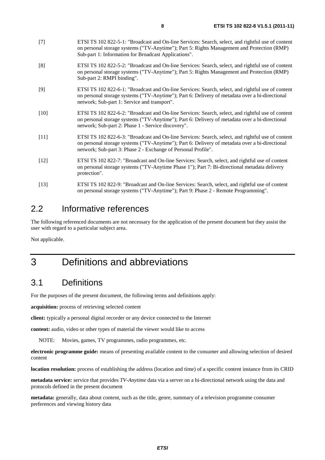- [7] ETSI TS 102 822-5-1: "Broadcast and On-line Services: Search, select, and rightful use of content on personal storage systems ("TV-Anytime"); Part 5: Rights Management and Protection (RMP) Sub-part 1: Information for Broadcast Applications".
- [8] ETSI TS 102 822-5-2: "Broadcast and On-line Services: Search, select, and rightful use of content on personal storage systems ("TV-Anytime"); Part 5: Rights Management and Protection (RMP) Sub-part 2: RMPI binding".
- [9] ETSI TS 102 822-6-1: "Broadcast and On-line Services: Search, select, and rightful use of content on personal storage systems ("TV-Anytime"); Part 6: Delivery of metadata over a bi-directional network; Sub-part 1: Service and transport".
- [10] ETSI TS 102 822-6-2: "Broadcast and On-line Services: Search, select, and rightful use of content on personal storage systems ("TV-Anytime"); Part 6: Delivery of metadata over a bi-directional network; Sub-part 2: Phase 1 - Service discovery".
- [11] ETSI TS 102 822-6-3: "Broadcast and On-line Services: Search, select, and rightful use of content on personal storage systems ("TV-Anytime"); Part 6: Delivery of metadata over a bi-directional network; Sub-part 3: Phase 2 - Exchange of Personal Profile".
- [12] ETSI TS 102 822-7: "Broadcast and On-line Services: Search, select, and rightful use of content on personal storage systems ("TV-Anytime Phase 1"); Part 7: Bi-directional metadata delivery protection".
- [13] ETSI TS 102 822-9: "Broadcast and On-line Services: Search, select, and rightful use of content on personal storage systems ("TV-Anytime"); Part 9: Phase 2 - Remote Programming".

#### 2.2 Informative references

The following referenced documents are not necessary for the application of the present document but they assist the user with regard to a particular subject area.

Not applicable.

# 3 Definitions and abbreviations

### 3.1 Definitions

For the purposes of the present document, the following terms and definitions apply:

**acquisition:** process of retrieving selected content

**client:** typically a personal digital recorder or any device connected to the Internet

**content:** audio, video or other types of material the viewer would like to access

NOTE: Movies, games, TV programmes, radio programmes, etc.

**electronic programme guide:** means of presenting available content to the consumer and allowing selection of desired content

**location resolution:** process of establishing the address (location and time) of a specific content instance from its CRID

**metadata service:** service that provides *TV-Anytime* data via a server on a bi-directional network using the data and protocols defined in the present document

**metadata:** generally, data about content, such as the title, genre, summary of a television programme consumer preferences and viewing history data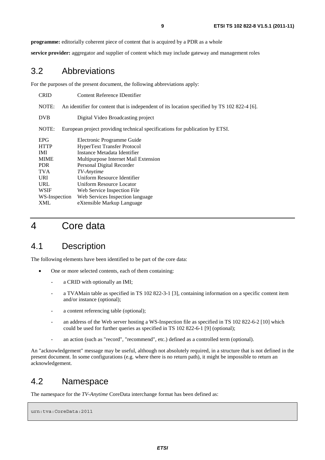**programme:** editorially coherent piece of content that is acquired by a PDR as a whole

**service provider:** aggregator and supplier of content which may include gateway and management roles

#### 3.2 Abbreviations

For the purposes of the present document, the following abbreviations apply:

| <b>CRID</b>   | Content Reference IDentifier                                                                 |  |
|---------------|----------------------------------------------------------------------------------------------|--|
| NOTE:         | An identifier for content that is independent of its location specified by TS 102 822-4 [6]. |  |
| <b>DVB</b>    | Digital Video Broadcasting project                                                           |  |
| NOTE:         | European project providing technical specifications for publication by ETSI.                 |  |
| <b>EPG</b>    | Electronic Programme Guide                                                                   |  |
| <b>HTTP</b>   | <b>HyperText Transfer Protocol</b>                                                           |  |
| IMI.          | Instance Metadata Identifier                                                                 |  |
| <b>MIME</b>   | Multipurpose Internet Mail Extension                                                         |  |
| <b>PDR</b>    | Personal Digital Recorder                                                                    |  |
| <b>TVA</b>    | TV-Anytime                                                                                   |  |
| <b>URI</b>    | Uniform Resource Identifier                                                                  |  |
| URL           | Uniform Resource Locator                                                                     |  |
| WSIF          | Web Service Inspection File                                                                  |  |
| WS-Inspection | Web Services Inspection language                                                             |  |
| XML           | eXtensible Markup Language                                                                   |  |

### 4 Core data

#### 4.1 Description

The following elements have been identified to be part of the core data:

- One or more selected contents, each of them containing:
	- a CRID with optionally an IMI;
	- a TVAMain table as specified in TS 102 822-3-1 [3], containing information on a specific content item and/or instance (optional);
	- a content referencing table (optional);
	- an address of the Web server hosting a WS-Inspection file as specified in TS 102 822-6-2 [10] which could be used for further queries as specified in TS 102 822-6-1 [9] (optional);
	- an action (such as "record", "recommend", etc.) defined as a controlled term (optional).

An "acknowledgement" message may be useful, although not absolutely required, in a structure that is not defined in the present document. In some configurations (e.g. where there is no return path), it might be impossible to return an acknowledgement.

#### 4.2 Namespace

The namespace for the *TV-Anytime* CoreData interchange format has been defined as:

```
urn:tva:CoreData:2011
```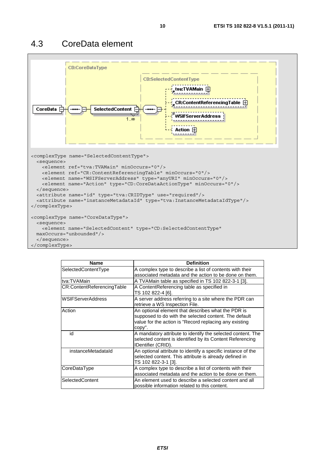### 4.3 CoreData element



| <b>Name</b>                | <b>Definition</b>                                                                                                                                                               |
|----------------------------|---------------------------------------------------------------------------------------------------------------------------------------------------------------------------------|
| SelectedContentType        | A complex type to describe a list of contents with their<br>associated metadata and the action to be done on them.                                                              |
| ltva:TVAMain               | A TVAMain table as specified in TS 102 822-3-1 [3].                                                                                                                             |
| CR:ContentReferencingTable | A ContentReferencing table as specified in<br>TS 102 822-4 [6].                                                                                                                 |
| <b>WSIFServerAddress</b>   | A server address referring to a site where the PDR can<br>retrieve a WS Inspection File.                                                                                        |
| Action                     | An optional element that describes what the PDR is<br>supposed to do with the selected content. The default<br>value for the action is "Record replacing any existing<br>copy". |
| id                         | A mandatory attribute to identify the selected content. The<br>selected content is identified by its Content Referencing<br>IDentifier (CRID).                                  |
| instanceMetadataId         | An optional attribute to identify a specific instance of the<br>selected content. This attribute is already defined in<br>TS 102 822-3-1 [3].                                   |
| CoreDataType               | A complex type to describe a list of contents with their<br>associated metadata and the action to be done on them.                                                              |
| SelectedContent            | An element used to describe a selected content and all<br>possible information related to this content.                                                                         |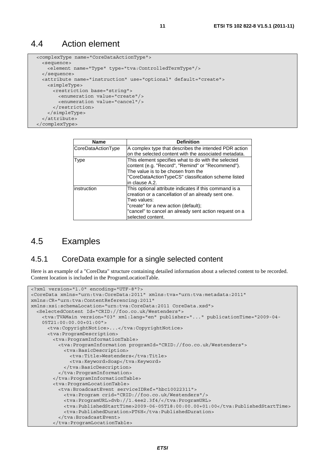#### 4.4 Action element

```
 <complexType name="CoreDataActionType"> 
  <sequence> 
    <element name="Type" type="tva:ControlledTermType"/> 
  </sequence> 
  <attribute name="instruction" use="optional" default="create"> 
    <simpleType> 
       <restriction base="string"> 
         <enumeration value="create"/> 
         <enumeration value="cancel"/> 
       </restriction> 
     </simpleType> 
   </attribute> 
 </complexType>
```

| <b>Name</b>        | <b>Definition</b>                                                                                                                                                                                                                                  |  |
|--------------------|----------------------------------------------------------------------------------------------------------------------------------------------------------------------------------------------------------------------------------------------------|--|
| CoreDataActionType | A complex type that describes the intended PDR action                                                                                                                                                                                              |  |
|                    | on the selected content with the associated metadata.                                                                                                                                                                                              |  |
| <b>Type</b>        | This element specifies what to do with the selected<br>content (e.g. "Record", "Remind" or "Recommend").<br>The value is to be chosen from the<br>"CoreDataActionTypeCS" classification scheme listed<br>in clause A.2.                            |  |
| instruction        | This optional attribute indicates if this command is a<br>creation or a cancellation of an already sent one.<br>Two values:<br>"create" for a new action (default);<br>"cancel" to cancel an already sent action request on a<br>selected content. |  |

#### 4.5 Examples

#### 4.5.1 CoreData example for a single selected content

Here is an example of a "CoreData" structure containing detailed information about a selected content to be recorded. Content location is included in the ProgramLocationTable.

```
<?xml version="1.0" encoding="UTF-8"?> 
<CoreData xmlns="urn:tva:CoreData:2011" xmlns:tva="urn:tva:metadata:2011" 
xmlns:CR="urn:tva:ContentReferencing:2011" 
xmlns:xsi:schemaLocation="urn:tva:CoreData:2011 CoreData.xsd"> 
   <SelectedContent Id="CRID://foo.co.uk/Westenders"> 
     <tva:TVAMain version="03" xml:lang="en" publisher="..." publicationTime="2009-04- 
    05T21:00:00.00+01:00"> 
      <tva:CopyrightNotice>...</tva:CopyrightNotice> 
       <tva:ProgramDescription> 
        <tva:ProgramInformationTable> 
          <tva:ProgramInformation programId="CRID://foo.co.uk/Westenders"> 
            <tva:BasicDescription> 
              <tva:Title>Westenders</tva:Title> 
               <tva:Keyword>Soap</tva:Keyword> 
            </tva:BasicDescription> 
          </tva:ProgramInformation> 
         </tva:ProgramInformationTable> 
        <tva:ProgramLocationTable> 
          <tva:BroadcastEvent serviceIDRef="hbc10022311"> 
            <tva:Program crid="CRID://foo.co.uk/Westenders"/> 
            <tva:ProgramURL>dvb://1.4ee2.3f4/</tva:ProgramURL> 
            <tva:PublishedStartTime>2009-06-05T18:00:00.00+01:00</tva:PublishedStartTime> 
            <tva:PublishedDuration>PT6H</tva:PublishedDuration> 
           </tva:BroadcastEvent> 
         </tva:ProgramLocationTable>
```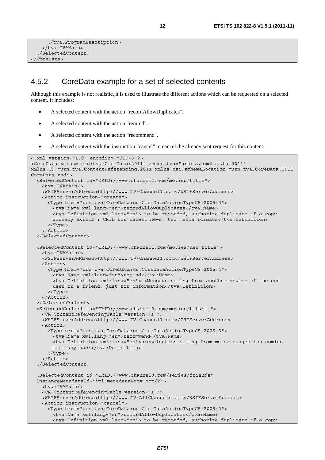```
 </tva:ProgramDescription> 
     </tva:TVAMain> 
   </SelectedContent> 
</CoreData>
```
#### 4.5.2 CoreData example for a set of selected contents

Although this example is not realistic, it is used to illustrate the different actions which can be requested on a selected content. It includes:

- A selected content with the action "recordAllowDuplicates".
- A selected content with the action "remind".
- A selected content with the action "recommend".
- A selected content with the instruction "cancel" to cancel the already sent request for this content.

```
<?xml version="1.0" encoding="UTF-8"?> 
<CoreData xmlns="urn:tva:CoreData:2011" xmlns:tva="urn:tva:metadata:2011" 
xmlns:CR="urn:tva:ContentReferencing:2011 xmlns:xsi:schemaLocation="urn:tva:CoreData:2011 
CoreData.xsd"> 
   <SelectedContent id="CRID://www.channel1.com/movies/title"> 
     <tva:TVAMain/> 
    <WSIFServerAddress>http://www.TV-Channel1.com</WSIFServerAddress> 
    <Action instruction="create"> 
      <Type href="urn:tva:CoreData:cs:CoreDataActionTypeCS:2005:2"> 
        <tva:Name xml:lang="en">recordAllowDuplicates</tva:Name> 
        <tva:Definition xml:lang="en"> to be recorded, authorize duplicate if a copy 
       already exists : CRID for latest news, two media formats</tva:Definition>
      </Type> 
     </Action> 
   </SelectedContent> 
   <SelectedContent id="CRID://www.channel1.com/movies/new_title"> 
    <tva:TVAMain/> 
    <WSIFServerAddress>http://www.TV-Channel1.com</WSIFServerAddress> 
    <Action> 
      <Type href="urn:tva:CoreData:cs:CoreDataActionTypeCS:2005:4"> 
        <tva:Name xml:lang="en">remind</tva:Name> 
        <tva:Definition xml:lang="en"> >Message coming from another device of the end- 
       user or a friend, just for information</tva:Definition>
      </Type> 
     </Action> 
   </SelectedContent> 
   <SelectedContent id="CRID://www.channel2.com/movies/titanic"> 
    <CR:ContentReferencingTable version="1"/> 
    <WSIFServerAddress>http://www.TV-Channel1.com</CRTServerAddress> 
    <Action> 
      <Type href="urn:tva:CoreData:cs:CoreDataActionTypeCS:2005:5"> 
        <tva:Name xml:lang="en">recommend</tva:Name> 
        <tva:Definition xml:lang="en">preselection coming from me or suggestion coming 
       from any user</tva:Definition>
      </Type> 
     </Action> 
   </SelectedContent> 
   <SelectedContent id="CRID://www.channel3.com/series/friends" 
   InstanceMetadataId="imi:metadataProv.com/2"> 
    <tva:TVAMain/> 
     <CR:ContentReferencingTable version="1"/> 
    <WSIFServerAddress>http://www.TV-AllChannels.com</WSIFServerAddress> 
    <Action instruction="cancel"> 
       <Type href="urn:tva:CoreData:cs:CoreDataActionTypeCS:2005:2"> 
        <tva:Name xml:lang="en">recordAllowDuplicates</tva:Name> 
        <tva:Definition xml:lang="en"> to be recorded, authorize duplicate if a copy
```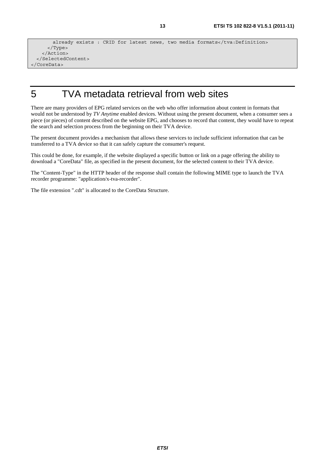```
already exists : CRID for latest news, two media formats</tva:Definition>
      </Type> 
    </Action> 
  </SelectedContent> 
</CoreData>
```
# 5 TVA metadata retrieval from web sites

There are many providers of EPG related services on the web who offer information about content in formats that would not be understood by *TV Anytime* enabled devices. Without using the present document, when a consumer sees a piece (or pieces) of content described on the website EPG, and chooses to record that content, they would have to repeat the search and selection process from the beginning on their TVA device.

The present document provides a mechanism that allows these services to include sufficient information that can be transferred to a TVA device so that it can safely capture the consumer's request.

This could be done, for example, if the website displayed a specific button or link on a page offering the ability to download a "CoreData" file, as specified in the present document, for the selected content to their TVA device.

The "Content-Type" in the HTTP header of the response shall contain the following MIME type to launch the TVA recorder programme: "application/x-tva-recorder".

The file extension ".cdt" is allocated to the CoreData Structure.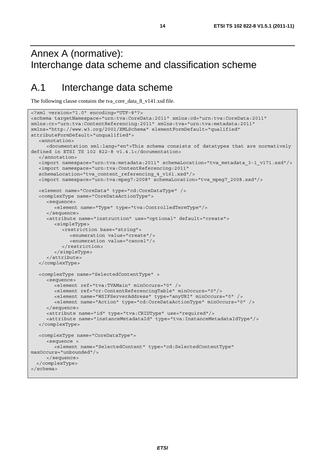# Annex A (normative): Interchange data scheme and classification scheme

# A.1 Interchange data scheme

The following clause contains the tva\_core\_data\_8\_v141.xsd file.

```
<?xml version="1.0" encoding="UTF-8"?> 
<schema targetNamespace="urn:tva:CoreData:2011" xmlns:cd="urn:tva:CoreData:2011" 
xmlns:cr="urn:tva:ContentReferencing:2011" xmlns:tva="urn:tva:metadata:2011" 
xmlns="http://www.w3.org/2001/XMLSchema" elementFormDefault="qualified" 
attributeFormDefault="unqualified"> 
   <annotation> 
      <documentation xml:lang="en">This schema consists of datatypes that are normatively 
defined in ETSI TS 102 822-8 v1.4.1</documentation> 
   </annotation> 
   <import namespace="urn:tva:metadata:2011" schemaLocation="tva_metadata_3-1_v171.xsd"/> 
   <import namespace="urn:tva:ContentReferencing:2011" 
   schemaLocation="tva_content_referencing_4_v161.xsd"/> 
   <import namespace="urn:tva:mpeg7:2008" schemaLocation="tva_mpeg7_2008.xsd"/> 
   <element name="CoreData" type="cd:CoreDataType" /> 
   <complexType name="CoreDataActionType"> 
      <sequence> 
         <element name="Type" type="tva:ControlledTermType"/> 
      </sequence> 
      <attribute name="instruction" use="optional" default="create"> 
         <simpleType> 
            <restriction base="string"> 
               <enumeration value="create"/> 
               <enumeration value="cancel"/> 
            </restriction> 
         </simpleType> 
      </attribute> 
   </complexType> 
   <complexType name="SelectedContentType" > 
      <sequence> 
         <element ref="tva:TVAMain" minOccurs="0" /> 
         <element ref="cr:ContentReferencingTable" minOccurs="0"/> 
         <element name="WSIFServerAddress" type="anyURI" minOccurs="0" /> 
         <element name="Action" type="cd:CoreDataActionType" minOccurs="0" /> 
      </sequence> 
      <attribute name="id" type="tva:CRIDType" use="required"/> 
      <attribute name="instanceMetadataId" type="tva:InstanceMetadataIdType"/> 
   </complexType> 
   <complexType name="CoreDataType"> 
      <sequence > 
         <element name="SelectedContent" type="cd:SelectedContentType" 
maxOccurs="unbounded"/> 
      </sequence> 
   </complexType> 
</schema>
```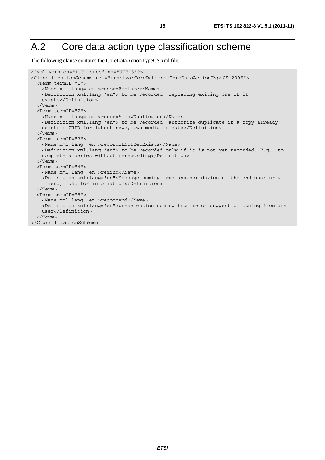# A.2 Core data action type classification scheme

The following clause contains the CoreDataActionTypeCS.xml file.

```
<?xml version="1.0" encoding="UTF-8"?> 
<ClassificationScheme uri="urn:tva:CoreData:cs:CoreDataActionTypeCS:2005"> 
  <Term termID="1"> 
    <Name xml:lang="en">recordReplace</Name> 
    <Definition xml:lang="en"> to be recorded, replacing exiting one if it 
    exists</Definition> 
   </Term> 
  <Term termID="2"> 
    <Name xml:lang="en">recordAllowDuplicates</Name> 
    <Definition xml:lang="en"> to be recorded, authorize duplicate if a copy already 
   exists : CRID for latest news, two media formats</Definition>
  </Term> 
  <Term termID="3"> 
    <Name xml:lang="en">recordIfNotYetExists</Name> 
    <Definition xml:lang="en"> to be recorded only if it is not yet recorded. E.g.: to 
   complete a series without rerecording</Definition>
  </Term> 
  <Term termID="4"> 
    <Name xml:lang="en">remind</Name> 
    <Definition xml:lang="en">Message coming from another device of the end-user or a 
    friend, just for information</Definition> 
  </Term> 
  <Term termID="5"> 
    <Name xml:lang="en">recommend</Name> 
    <Definition xml:lang="en">preselection coming from me or suggestion coming from any 
    user</Definition> 
   </Term> 
</ClassificationScheme>
```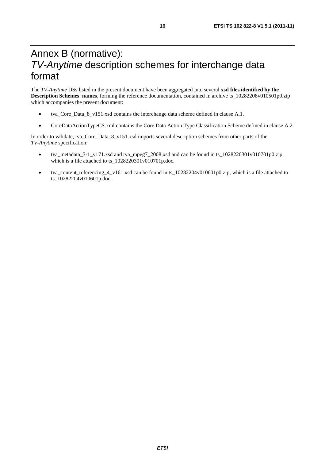# Annex B (normative): *TV-Anytime* description schemes for interchange data format

The *TV-Anytime* DSs listed in the present document have been aggregated into several **xsd files identified by the Description Schemes' names**, forming the reference documentation, contained in archive ts\_10282208v010501p0.zip which accompanies the present document:

- tva\_Core\_Data\_8\_v151.xsd contains the interchange data scheme defined in clause A.1.
- CoreDataActionTypeCS.xml contains the Core Data Action Type Classification Scheme defined in clause A.2.

In order to validate, tva\_Core\_Data\_8\_v151.xsd imports several description schemes from other parts of the *TV-Anytime* specification:

- tva\_metadata\_3-1\_v171.xsd and tva\_mpeg7\_2008.xsd and can be found in ts\_1028220301v010701p0.zip, which is a file attached to ts\_1028220301v010701p.doc.
- tva content referencing 4 v161.xsd can be found in ts  $10282204v010601p0.$ zip, which is a file attached to ts\_10282204v010601p.doc.